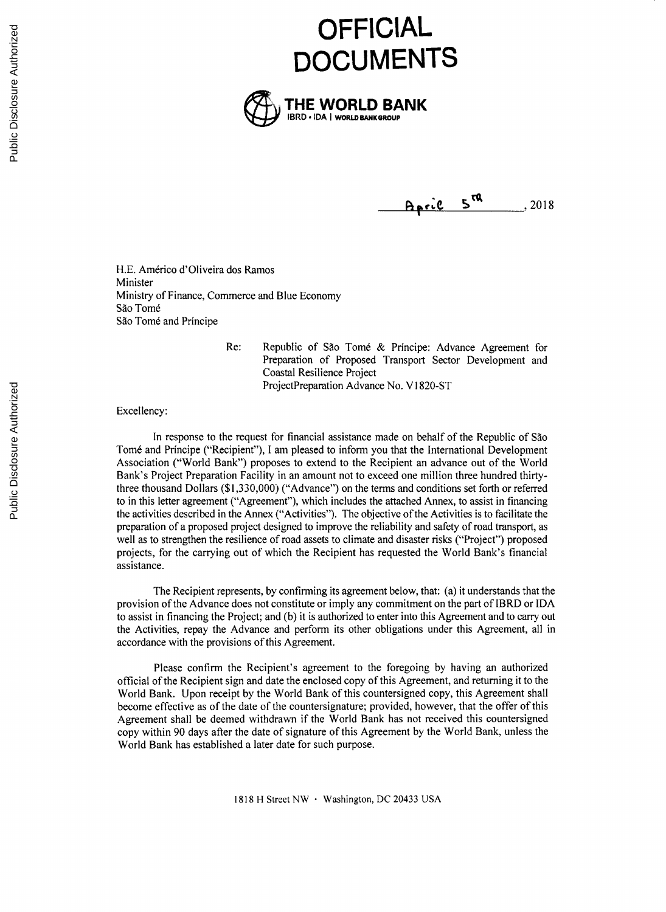



April 5<sup>ra</sup>, 2018

H.E. Américo d'Oliveira dos Ramos Minister Ministry of Finance, Commerce and Blue Economy São Tomé São Tomé and Príncipe

> Re: Republic **of** Sao Tom6 **&** Principe: Advance Agreement for Preparation of Proposed Transport Sector Development and Coastal Resilience Project ProjectPreparation Advance No. V1820-ST

Excellency:

In response to the request for financial assistance made on behalf of the Republic of Sao Tom6 and Principe ("Recipient"), **I** am pleased to inform you that the International Development Association ("World Bank") proposes to extend to the Recipient an advance out of the World Bank's Project Preparation Facility in an amount not to exceed one million three hundred thirtythree thousand Dollars *(\$1,330,000)* ("Advance") on the terms and conditions set forth or referred to in this letter agreement ("Agreement"), which includes the attached Annex, to assist in financing the activities described in the Annex ("Activities"). The objective of the Activities is to facilitate the preparation of a proposed project designed to improve the reliability and safety of road transport, as well as to strengthen the resilience of road assets to climate and disaster risks ("Project") proposed projects, for the carrying out of which the Recipient has requested the World Bank's financial assistance.

The Recipient represents, **by** confirming its agreement below, that: (a) it understands that the provision of the Advance does not constitute or imply any commitment on the part of IBRD or **IDA** to assist in financing the Project; and **(b)** it is authorized to enter into this Agreement and to carry out the Activities, repay the Advance and perform its other obligations under this Agreement, all in accordance with the provisions of this Agreement.

Please confirm the Recipient's agreement to the foregoing **by** having an authorized official of the Recipient sign and date the enclosed copy of this Agreement, and returning it to the World Bank. Upon receipt **by** the World Bank of this countersigned copy, this Agreement shall become effective as of the date of the countersignature; provided, however, that the offer of this Agreement shall be deemed withdrawn if the World Bank has not received this countersigned copy within **90** days after the date of signature of this Agreement **by** the World Bank, unless the World Bank has established a later date for such purpose.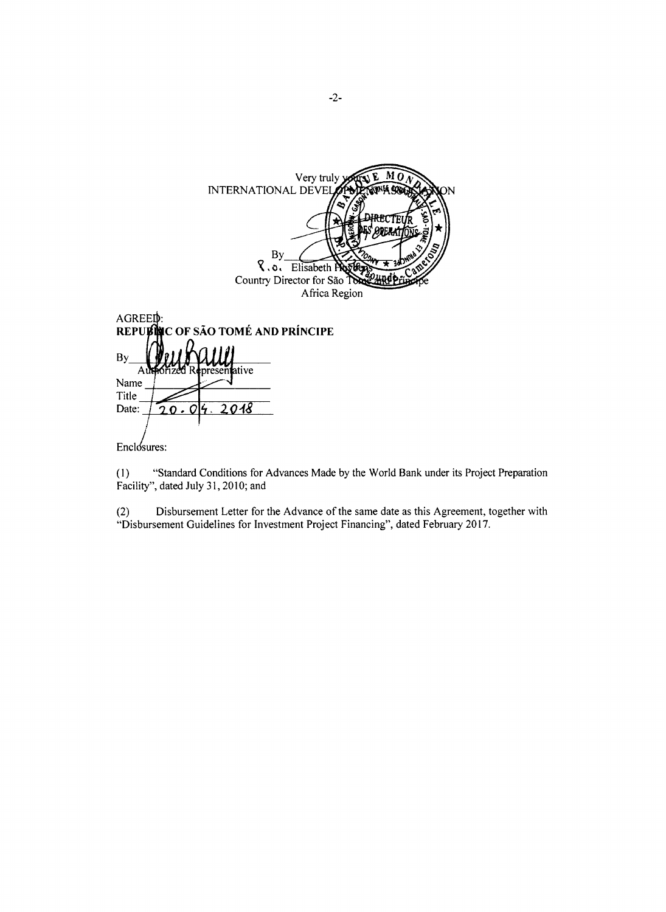Very truly<br>INTERNATIONAL DEVEL  $M\tilde{O}$ irecte pretent **By** R.o. Elisabeth P Country Director for São To Africa Region AGREED: **OF SÃO TOMÉ AND PRÍNCIPE** REPUED By  $\overline{A}$ itive Name Title Date:  $20.04$ 2018 Enclosures:

 $(1)$ "Standard Conditions for Advances Made by the World Bank under its Project Preparation Facility", dated July 31, 2010; and

Disbursement Letter for the Advance of the same date as this Agreement, together with  $(2)$ "Disbursement Guidelines for Investment Project Financing", dated February 2017.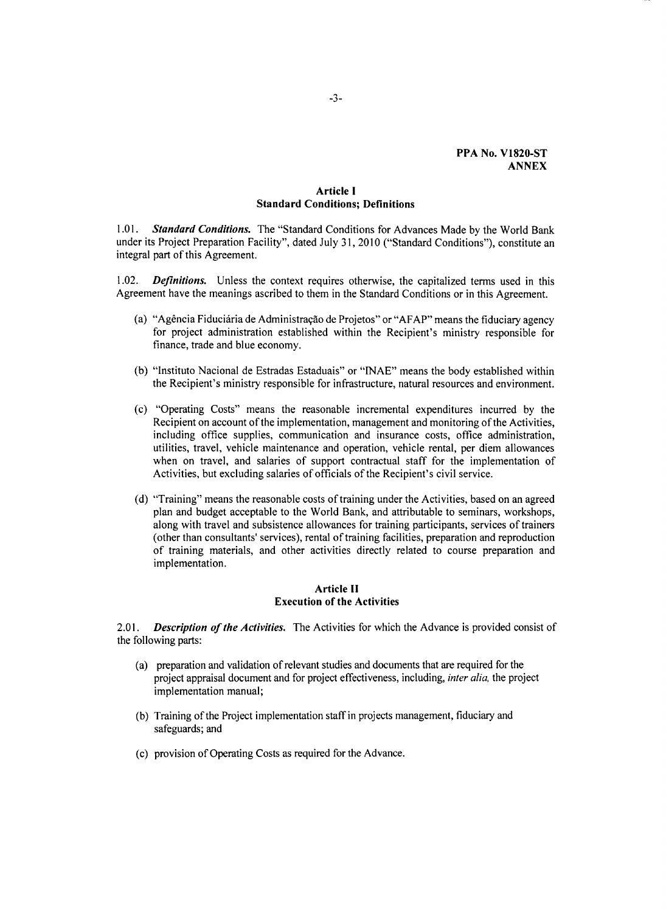## **PPA No. V1820-ST ANNEX**

#### **Article I Standard Conditions; Definitions**

*1.01. Standard Conditions.* The "Standard Conditions for Advances Made **by** the World Bank under its Project Preparation Facility", dated July *31,* 2010 ("Standard Conditions"), constitute an integral part of this Agreement.

1.02. *Definitions.* Unless the context requires otherwise, the capitalized terms used in this Agreement have the meanings ascribed to them in the Standard Conditions or in this Agreement.

- (a) "Ag6ncia Fiducidria de Administraqo de Projetos" or **"AFAP"** means the fiduciary agency for project administration established within the Recipient's ministry responsible for finance, trade and blue economy.
- **(b)** "Instituto Nacional de Estradas Estaduais" or **"INAE"** means the body established within the Recipient's ministry responsible for infrastructure, natural resources and environment.
- (c) "Operating Costs" means the reasonable incremental expenditures incurred **by** the Recipient on account of the implementation, management and monitoring of the Activities, including office supplies, communication and insurance costs, office administration, utilities, travel, vehicle maintenance and operation, vehicle rental, per diem allowances when on travel, and salaries of support contractual staff for the implementation of Activities, but excluding salaries of officials of the Recipient's civil service.
- **(d)** "Training" means the reasonable costs of training under the Activities, based on an agreed plan and budget acceptable to the World Bank, and attributable to seminars, workshops, along with travel and subsistence allowances for training participants, services of trainers (other than consultants' services), rental of training facilities, preparation and reproduction of training materials, and other activities directly related to course preparation and implementation.

# **Article II Execution of the Activities**

2.01. *Description of the Activities.* The Activities for which the Advance is provided consist of the following parts:

- (a) preparation and validation of relevant studies and documents that are required for the project appraisal document and for project effectiveness, including, *inter alia,* the project implementation manual;
- **(b)** Training of the Project implementation staff in projects management, fiduciary and safeguards; and
- (c) provision of Operating Costs as required for the Advance.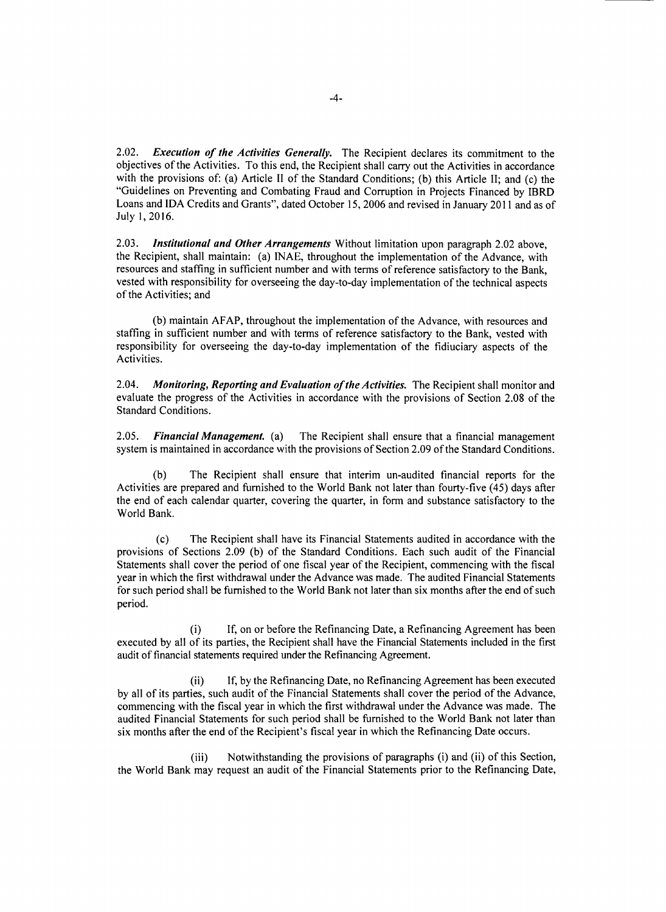2.02. *Execution of the Activities Generally.* The Recipient declares its commitment to the objectives of the Activities. To this end, the Recipient shall carry out the Activities in accordance with the provisions of: (a) Article II of the Standard Conditions; **(b)** this Article **II;** and (c) the "Guidelines on Preventing and Combating Fraud and Corruption in Projects Financed **by** IBRD Loans and **IDA** Credits and Grants", dated October *15,* **2006** and revised in January 2011 and as of July **1, 2016.**

*2.03. Institutional and Other Arrangements* Without limitation upon paragraph 2.02 above, the Recipient, shall maintain: (a) **INAE,** throughout the implementation of the Advance, with resources and staffing in sufficient number and with terms of reference satisfactory to the Bank, vested with responsibility for overseeing the day-to-day implementation of the technical aspects of the Activities; and

**(b)** maintain **AFAP,** throughout the implementation of the Advance, with resources and staffing in sufficient number and with terms of reference satisfactory to the Bank, vested with responsibility for overseeing the day-to-day implementation of the fidiuciary aspects of the Activities.

2.04. *Monitoring, Reporting and Evaluation of the Activities.* The Recipient shall monitor and evaluate the progress of the Activities in accordance with the provisions of Section **2.08** of the Standard Conditions.

*2.05. Financial Management. (a)* The Recipient shall ensure that a financial management system is maintained in accordance with the provisions of Section **2.09** of the Standard Conditions.

**(b)** The Recipient shall ensure that interim un-audited financial reports for the Activities are prepared and furnished to the World Bank not later than fourty-five (45) days after the end of each calendar quarter, covering the quarter, in form and substance satisfactory to the World Bank.

(c) The Recipient shall have its Financial Statements audited in accordance with the provisions of Sections **2.09 (b)** of the Standard Conditions. Each such audit of the Financial Statements shall cover the period of one fiscal year of the Recipient, commencing with the fiscal year in which the first withdrawal under the Advance was made. The audited Financial Statements for such period shall be furnished to the World Bank not later than six months after the end of such period.

(i) **If,** on or before the Refinancing Date, a Refinancing Agreement has been executed **by** all of its parties, the Recipient shall have the Financial Statements included in the first audit of financial statements required under the Refinancing Agreement.

(ii) **If, by** the Refinancing Date, no Refinancing Agreement has been executed **by** all of its parties, such audit of the Financial Statements shall cover the period of the Advance, commencing with the fiscal year in which the first withdrawal under the Advance was made. The audited Financial Statements for such period shall be furnished to the World Bank not later than six months after the end of the Recipient's fiscal year in which the Refinancing Date occurs.

(iii) Notwithstanding the provisions of paragraphs (i) and (ii) of this Section, the World Bank may request an audit of the Financial Statements prior to the Refinancing Date,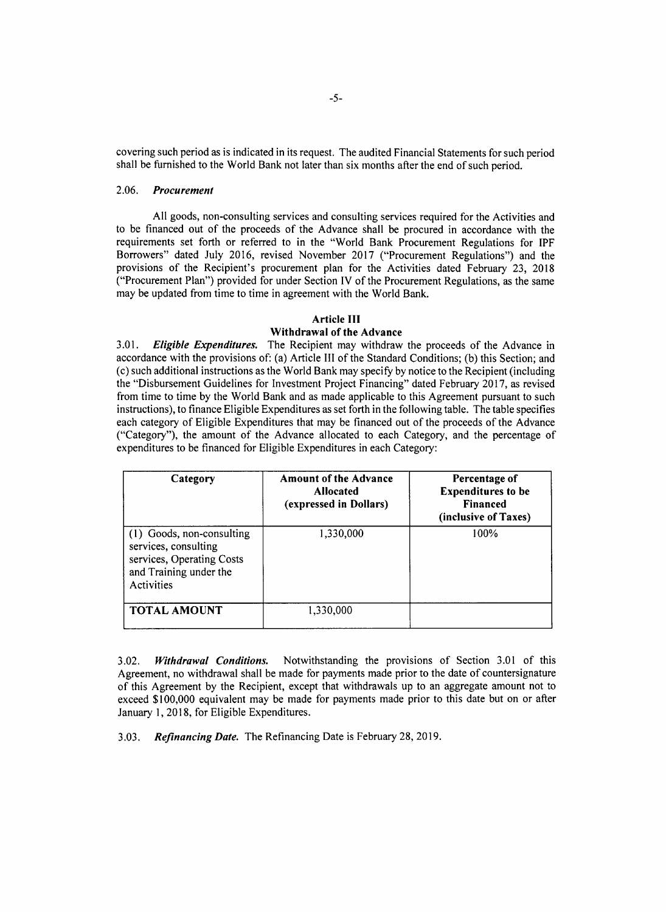covering such period as is indicated in its request. The audited Financial Statements for such period shall be furnished to the World Bank not later than six months after the end of such period.

## *2.06. Procurement*

**All** goods, non-consulting services and consulting services required for the Activities and to be financed out of the proceeds of the Advance shall be procured in accordance with the requirements set forth or referred to in the "World Bank Procurement Regulations for IPF Borrowers" dated July **2016,** revised November **2017** ("Procurement Regulations") and the provisions of the Recipient's procurement plan for the Activities dated February **23, 2018** ("Procurement Plan") provided for under Section IV of the Procurement Regulations, as the same may be updated from time to time in agreement with the World Bank.

## **Article III**

# **Withdrawal of the Advance**

**3.01.** *Eligible Expenditures.* The Recipient may withdraw the proceeds of the Advance in accordance with the provisions of: (a) Article **III** of the Standard Conditions; **(b)** this Section; and (c) such additional instructions as the World Bank may specify **by** notice to the Recipient (including the "Disbursement Guidelines for Investment Project Financing" dated February **2017,** as revised from time to time **by** the World Bank and as made applicable to this Agreement pursuant to such instructions), to finance Eligible Expenditures as set forth in the following table. The table specifies each category of Eligible Expenditures that may be financed out of the proceeds of the Advance ("Category"), the amount of the Advance allocated to each Category, and the percentage of expenditures to be financed for Eligible Expenditures in each Category:

| Category                                                                                                               | <b>Amount of the Advance</b><br><b>Allocated</b><br>(expressed in Dollars) | Percentage of<br><b>Expenditures to be</b><br><b>Financed</b><br>(inclusive of Taxes) |
|------------------------------------------------------------------------------------------------------------------------|----------------------------------------------------------------------------|---------------------------------------------------------------------------------------|
| (1) Goods, non-consulting<br>services, consulting<br>services, Operating Costs<br>and Training under the<br>Activities | 1,330,000                                                                  | 100%                                                                                  |
| <b>TOTAL AMOUNT</b>                                                                                                    | 1,330,000                                                                  |                                                                                       |

3.02. *Withdrawal Conditions.* Notwithstanding the provisions of Section **3.01** of this Agreement, no withdrawal shall be made for payments made prior to the date of countersignature of this Agreement **by** the Recipient, except that withdrawals up to an aggregate amount not to exceed **\$100,000** equivalent may be made for payments made prior to this date but on or after January **1, 2018,** for Eligible Expenditures.

**3.03.** *Refinancing Date.* The Refinancing Date is February **28, 2019.**